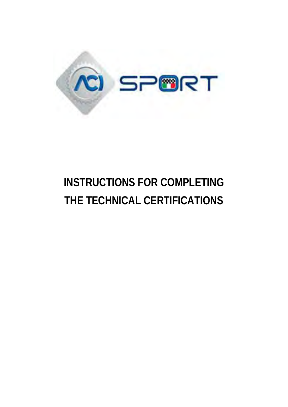

# **INSTRUCTIONS FOR COMPLETING THE TECHNICAL CERTIFICATIONS**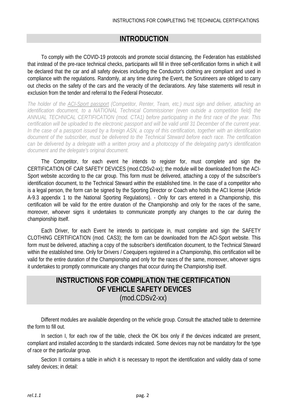# **INTRODUCTION**

To comply with the COVID-19 protocols and promote social distancing, the Federation has established that instead of the pre-race technical checks, participants will fill in three self-certification forms in which it will be declared that the car and all safety devices including the Conductor's clothing are compliant and used in compliance with the regulations. Randomly, at any time during the Event, the Scrutineers are obliged to carry out checks on the safety of the cars and the veracity of the declarations. Any false statements will result in exclusion from the tender and referral to the Federal Prosecutor.

*The holder of the ACI-Sport passport (Competitor, Renter, Team, etc.) must sign and deliver, attaching an identification document, to a NATIONAL Technical Commissioner (even outside a competition field) the ANNUAL TECHNICAL CERTIFICATION (mod. CTA1) before participating in the first race of the year. This certification will be uploaded to the electronic passport and will be valid until 31 December of the current year. In the case of a passport issued by a foreign ASN, a copy of this certification, together with an identification document of the subscriber, must be delivered to the Technical Steward before each race. The certification can be delivered by a delegate with a written proxy and a photocopy of the delegating party's identification document and the delegate's original document.*

The Competitor, for each event he intends to register for, must complete and sign the CERTIFICATION OF CAR SAFETY DEVICES (mod.CDSv2-xx); the module will be downloaded from the ACI-Sport website according to the car group. This form must be delivered, attaching a copy of the subscriber's identification document, to the Technical Steward within the established time. In the case of a competitor who is a legal person, the form can be signed by the Sporting Director or Coach who holds the ACI license (Article A-9.3 appendix 1 to the National Sporting Regulations). - Only for cars entered in a Championship, this certification will be valid for the entire duration of the Championship and only for the races of the same, moreover, whoever signs it undertakes to communicate promptly any changes to the car during the championship itself.

Each Driver, for each Event he intends to participate in, must complete and sign the SAFETY CLOTHING CERTIFICATION (mod. CAS3); the form can be downloaded from the ACI-Sport website. This form must be delivered, attaching a copy of the subscriber's identification document, to the Technical Steward within the established time. Only for Drivers / Coequipers registered in a Championship, this certification will be valid for the entire duration of the Championship and only for the races of the same, moreover, whoever signs it undertakes to promptly communicate any changes that occur during the Championship itself.

# **INSTRUCTIONS FOR COMPILATION THE CERTIFICATION OF VEHICLE SAFETY DEVICES**  (mod.CDSv2-xx)

Different modules are available depending on the vehicle group. Consult the attached table to determine the form to fill out.

In section I, for each row of the table, check the OK box only if the devices indicated are present, compliant and installed according to the standards indicated. Some devices may not be mandatory for the type of race or the particular group.

Section II contains a table in which it is necessary to report the identification and validity data of some safety devices; in detail: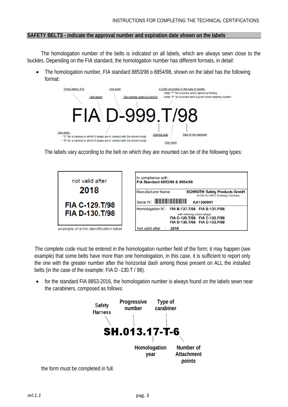#### **SAFETY BELTS - indicate the approval number and expiration date shown on the labels**

The homologation number of the belts is indicated on all labels, which are always sewn close to the buckles. Depending on the FIA standard, the homologation number has different formats, in detail:

• The homologation number, FIA standard 8853/98 o 8854/98, shown on the label has the following format:



The labels vary according to the belt on which they are mounted can be of the following types:

| not valid after                       | In compliance with:<br>FIA Standard 8853/98 & 8854/98                                             |
|---------------------------------------|---------------------------------------------------------------------------------------------------|
| 2018                                  | Manufacturer Name:<br><b>SCHROTH Safety Products GmbH</b><br>Im Ohl 14 · 59757 Arnsberg · Germany |
| FIA C-129.T/98                        | AA1300001                                                                                         |
|                                       | Homologation N°: FIA B-137.T/98 FIA B-131.P/98                                                    |
| <b>FIA D-130.T/98</b>                 | with referring crotch straps:<br>FIA C-129.T/98 FIA C-132.P/98<br>FIA D-130.T/98 FIA D-133.P/98   |
| example of a FIA identification label | Not valid after<br>2018                                                                           |

The complete code must be entered in the homologation number field of the form; it may happen (see example) that some belts have more than one homologation, in this case, it is sufficient to report only the one with the greater number after the horizontal dash among those present on ALL the installed belts (in the case of the example: FIA D -130.T / 98).

• for the standard FIA 8853-2016, the homologation number is always found on the labels sewn near the carabiners, composed as follows:



the form must be completed in full.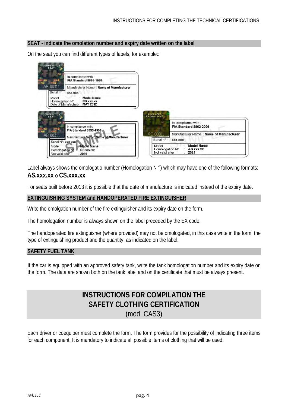#### **SEAT - indicate the omolation number and expiry date written on the label**

On the seat you can find different types of labels, for example::



Label always shows the omologatio number (Homologation N °) which may have one of the following formats: **AS.xxx.xx** o **CS.xxx.xx**

For seats built before 2013 it is possible that the date of manufacture is indicated instead of the expiry date.

#### **EXTINGUISHING SYSTEM and HANDOPERATED FIRE EXTINGUISHER**

Write the omolgation number of the fire extinguisher and its expiry date on the form.

The homologation number is always shown on the label preceded by the EX code.

The handoperated fire extinguisher (where provided) may not be omologated, in this case write in the form the type of extinguishing product and the quantity, as indicated on the label.

#### **SAFETY FUEL TANK**

If the car is equipped with an approved safety tank, write the tank homologation number and its expiry date on the form. The data are shown both on the tank label and on the certificate that must be always present.

# **INSTRUCTIONS FOR COMPILATION THE SAFETY CLOTHING CERTIFICATION** (mod. CAS3)

Each driver or coequiper must complete the form. The form provides for the possibility of indicating three items for each component. It is mandatory to indicate all possible items of clothing that will be used.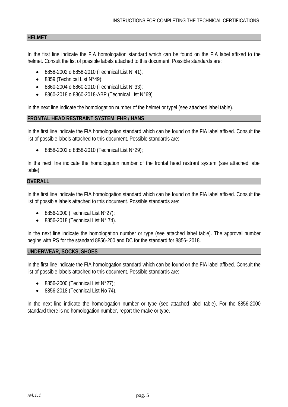#### **HELMET**

In the first line indicate the FIA homologation standard which can be found on the FIA label affixed to the helmet. Consult the list of possible labels attached to this document. Possible standards are:

- 8858-2002 o 8858-2010 (Technical List N°41);
- 8859 (Technical List  $N°49$ );
- 8860-2004 o 8860-2010 (Technical List N°33);
- 8860-2018 o 8860-2018-ABP (Technical List N°69)

In the next line indicate the homologation number of the helmet or typel (see attached label table).

#### **FRONTAL HEAD RESTRAINT SYSTEM FHR / HANS**

In the first line indicate the FIA homologation standard which can be found on the FIA label affixed. Consult the list of possible labels attached to this document. Possible standards are:

• 8858-2002 o 8858-2010 (Technical List N°29);

In the next line indicate the homologation number of the frontal head restrant system (see attached label table).

#### **OVERALL**

In the first line indicate the FIA homologation standard which can be found on the FIA label affixed. Consult the list of possible labels attached to this document. Possible standards are:

- 8856-2000 (Technical List  $N^{\circ}27$ );
- 8856-2018 (Technical List N° 74).

In the next line indicate the homologation number or type (see attached label table). The approval number begins with RS for the standard 8856-200 and DC for the standard for 8856- 2018.

#### **UNDERWEAR, SOCKS, SHOES**

In the first line indicate the FIA homologation standard which can be found on the FIA label affixed. Consult the list of possible labels attached to this document. Possible standards are:

- 8856-2000 (Technical List  $N^{\circ}27$ );
- 8856-2018 (Technical List No 74).

In the next line indicate the homologation number or type (see attached label table). For the 8856-2000 standard there is no homologation number, report the make or type.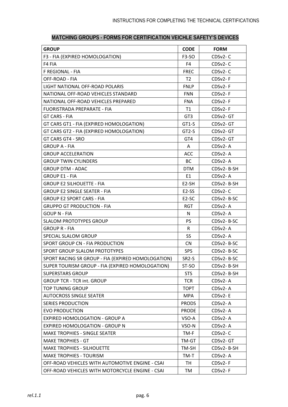| <b>GROUP</b>                                       | <b>CODE</b>        | <b>FORM</b> |
|----------------------------------------------------|--------------------|-------------|
| F3 - FIA (EXPIRED HOMOLOGATION)                    | F3-SO              | CDSv2-C     |
| F4 FIA                                             | F4                 | CDSv2-C     |
| F REGIONAL - FIA                                   | <b>FREC</b>        | CDSv2-C     |
| OFF-ROAD - FIA                                     | T <sub>2</sub>     | $CDSv2-F$   |
| LIGHT NATIONAL OFF-ROAD POLARIS                    | <b>FNLP</b>        | CDSv2-F     |
| NATIONAL OFF-ROAD VEHICLES STANDARD                | <b>FNN</b>         | CDSv2-F     |
| NATIONAL OFF-ROAD VEHICLES PREPARED                | <b>FNA</b>         | $CDSv2-F$   |
| FUORISTRADA PREPARATE - FIA                        | T1                 | CDSv2-F     |
| GT CARS - FIA                                      | GT <sub>3</sub>    | CDSv2-GT    |
| GT CARS GT1 - FIA (EXPIRED HOMOLOGATION)           | GT1-S              | CDSv2-GT    |
| GT CARS GT2 - FIA (EXPIRED HOMOLOGATION)           | GT2-S              | CDSv2-GT    |
| GT CARS GT4 - SRO                                  | GT4                | CDSv2-GT    |
| <b>GROUP A - FIA</b>                               | A                  | CDSv2-A     |
| <b>GROUP ACCELERATION</b>                          | ACC                | $CDSv2 - A$ |
| <b>GROUP TWIN CYLINDERS</b>                        | BC                 | CDSv2-A     |
| <b>GROUP DTM - ADAC</b>                            | <b>DTM</b>         | CDSv2-B-SH  |
| <b>GROUP E1 - FIA</b>                              | E1                 | $CDSv2 - A$ |
| <b>GROUP E2 SILHOUETTE - FIA</b>                   | E2-SH              | CDSv2-B-SH  |
| <b>GROUP E2 SINGLE SEATER - FIA</b>                | E2-SS              | $CDSv2-C$   |
| <b>GROUP E2 SPORT CARS - FIA</b>                   | E <sub>2</sub> -SC | CDSv2-B-SC  |
| GRUPPO GT PRODUCTION - FIA                         | <b>RGT</b>         | CDSv2-A     |
| <b>GOUP N - FIA</b>                                | N                  | CDSv2-A     |
| <b>SLALOM PROTOTYPES GROUP</b>                     | <b>PS</b>          | CDSv2-B-SC  |
| <b>GROUP R - FIA</b>                               | R                  | CDSv2-A     |
| SPECIAL SLALOM GROUP                               | SS                 | CDSv2-A     |
| SPORT GROUP CN - FIA PRODUCTION                    | <b>CN</b>          | CDSv2-B-SC  |
| SPORT GROUP SLALOM PROTOTYPES                      | <b>SPS</b>         | CDSv2-B-SC  |
| SPORT RACING SR GROUP - FIA (EXPIRED HOMOLOGATION) | SR <sub>2</sub> -S | CDSv2-B-SC  |
| SUPER TOURISM GROUP - FIA (EXPIRED HOMOLOGATION)   | ST-SO              | CDSv2-B-SH  |
| <b>SUPERSTARS GROUP</b>                            | <b>STS</b>         | CDSv2-B-SH  |
| <b>GROUP TCR - TCR int. GROUP</b>                  | <b>TCR</b>         | CDSv2-A     |
| <b>TOP TUNING GROUP</b>                            | TOPT               | CDSv2-A     |
| <b>AUTOCROSS SINGLE SEATER</b>                     | <b>MPA</b>         | CDSv2-E     |
| <b>SERIES PRODUCTION</b>                           | <b>PRODS</b>       | CDSv2-A     |
| <b>EVO PRODUCTION</b>                              | <b>PRODE</b>       | CDSv2-A     |
| <b>EXPIRED HOMOLOGATION - GROUP A</b>              | VSO-A              | $CDSv2 - A$ |
| <b>EXPIRED HOMOLOGATION - GROUP N</b>              | VSO-N              | CDSv2-A     |
| MAKE TROPHIES - SINGLE SEATER                      | TM-F               | CDSv2-C     |
| <b>MAKE TROPHIES - GT</b>                          | TM-GT              | CDSv2-GT    |
| <b>MAKE TROPHIES - SILHOUETTE</b>                  | TM-SH              | CDSv2-B-SH  |
| <b>MAKE TROPHIES - TOURISM</b>                     | TM-T               | CDSv2-A     |
| OFF-ROAD VEHICLES WITH AUTOMOTIVE ENGINE - CSAI    | TH                 | $CDSv2-F$   |
| OFF-ROAD VEHICLES WITH MOTORCYCLE ENGINE - CSAI    | TM                 | CDSv2-F     |

### **MATCHING GROUPS - FORMS FOR CERTIFICATION VEICHLE SAFETY'S DEVICES**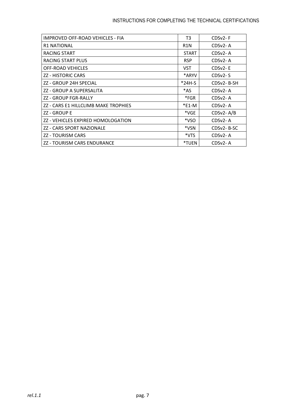## INSTRUCTIONS FOR COMPLETING THE TECHNICAL CERTIFICATIONS

| IMPROVED OFF-ROAD VEHICLES - FIA     | T3               | $CDSv2-F$     |
|--------------------------------------|------------------|---------------|
| <b>R1 NATIONAL</b>                   | R <sub>1</sub> N | $CDSv2 - A$   |
| RACING START                         | <b>START</b>     | CDSv2-A       |
| RACING START PLUS                    | <b>RSP</b>       | $CDSv2 - A$   |
| <b>OFF-ROAD VEHICLES</b>             | <b>VST</b>       | CDSv2-E       |
| <b>ZZ - HISTORIC CARS</b>            | *ARYV            | $CDSv2-S$     |
| ZZ - GROUP 24H SPECIAL               | *24H-S           | CDSv2-B-SH    |
| ZZ - GROUP A SUPERSALITA             | *AS              | $CDSv2 - A$   |
| ZZ - GROUP FGR-RALLY                 | *FGR             | CDSv2-A       |
| ZZ - CARS E1 HILLCLIMB MAKE TROPHIES | $*$ E1-M         | $CDSv2 - A$   |
| ZZ - GROUP E                         | *VGE             | $CDSv2 - A/B$ |
| ZZ - VEHICLES EXPIRED HOMOLOGATION   | *VSO             | CDSv2-A       |
| ZZ - CARS SPORT NAZIONALE            | *VSN             | CDSv2-B-SC    |
| <b>ZZ - TOURISM CARS</b>             | *VTS             | $CDSv2 - A$   |
| ZZ - TOURISM CARS ENDURANCE          | *TUEN            | CDSv2-A       |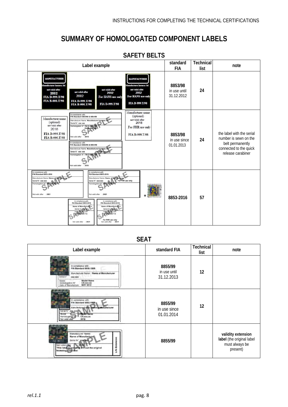# **SUMMARY OF HOMOLOGATED COMPONENT LABELS**

| Label example                                                                                                                                                                                                                                                                                                                                                                                                                                                                                                                                                                                                                                                                                                           | standard<br>FIA                       | Technical<br>list | note                                                                                                                  |
|-------------------------------------------------------------------------------------------------------------------------------------------------------------------------------------------------------------------------------------------------------------------------------------------------------------------------------------------------------------------------------------------------------------------------------------------------------------------------------------------------------------------------------------------------------------------------------------------------------------------------------------------------------------------------------------------------------------------------|---------------------------------------|-------------------|-----------------------------------------------------------------------------------------------------------------------|
| <b>MANUFACTURER</b><br><b>MANUFACTURER</b><br>fanufacturer harness ltd<br><b>Ispufacturer harness ltd</b><br>not valid after<br>not valid after<br>not valid after<br>not valid after<br>2002<br>2002<br>2002<br>2002<br>For HANS use only<br>For HANS use only<br>FIA D-999.T/98<br><b>FIA B-000.T/98</b><br>FIA D-999.T/98<br>FIA D-999.T/98<br>FIA D-999.T/98<br><b>FIA B-000.T/98</b>                                                                                                                                                                                                                                                                                                                               | 8853/98<br>in use until<br>31.12.2012 | 24                |                                                                                                                       |
| Manufacturer name<br>In compliance with:<br>(optional)<br>FIA Standard 8853/98 & 8854/98<br>Manufacturer name<br>not valid after<br>Manufacturer Name: Manufacturer<br>(optional)<br>2018<br>Serial N°: xxx xxx<br>not valid after<br>Homologation Nº: FIA D-9<br>For FHR use only<br>2018<br>FIA D-999.T/98<br>FIA D-999.T/98<br>Not valid after<br>FIA B-000.T/98<br>In compliance with:<br>FIA Standard 8853/98 & 8854/98<br>Manufacturer Name: Manufacturer hanges<br>Serial N°: XXX XXX<br>Homologation N°: FIA D-9<br>Not valid after<br>2018                                                                                                                                                                     | 8853/98<br>in use since<br>01.01.2013 | 24                | the label with the serial<br>number is sewn on the<br>belt permanently<br>connected to the quick<br>release carabiner |
| In compliance with:<br>In compliance with<br><b>FIA Standard 8853-2016</b><br><b>FIA Standard 8853-2016</b><br>Manufacturer Name: Name of<br>Manufacturer Name: Name<br>Serial N°: xxx xxx<br>For FHR use only<br>Serial N°: XXX XXX<br>Homologation N°: SHUXXLXX-TO<br>Homologation N': SHUOOLOGE<br>Not valid after<br>:2021<br>Not valid after<br>: 2021<br>in compliance with:<br>In compliance with<br><b>FIA Standard 8853-2016</b><br>FIA Standard 8853-2016<br>Name of Manufacturer<br>Name of Manufacturer<br>Serial N' <sub>d</sub> elle axx<br>Serial N'artist Box<br><b>DESCRIPTION AND</b><br>Homographica N<br>Van Disponsor T-X<br>For FHR use only<br>Not valid after<br>: 2021<br>Not valid after 2021 | 8853-2016                             | 57                |                                                                                                                       |

## **SAFETY BELTS**

**SEAT**

| Label example                                                                                                                                                                                                                             | standard FIA                          | <b>Technical</b><br>list | note                                                                          |
|-------------------------------------------------------------------------------------------------------------------------------------------------------------------------------------------------------------------------------------------|---------------------------------------|--------------------------|-------------------------------------------------------------------------------|
| In completion with<br>FIA Standard 8355-1999<br>Marxifacturer Name - Name of Manufacturer<br>(lewica) m/<br><b>BAK NEE</b><br><b>Model Name</b><br>Model<br>Homotogeteor N°<br><b>CS.xxx.xx</b><br><b>MAY 2012</b><br>Date of Menutecture | 8855/99<br>in use until<br>31.12.2013 | 12                       |                                                                               |
| In complaince with<br>FIA Standard BBSS-1999<br>Manufacturas/Altric Maine di Manufacturar<br>Serial Nº Kica, Kica<br><b>Madel Name</b><br><b>CS</b> xxx xx<br>Horrickogatian fall<br>2019<br>Not valid after                              | 8855/99<br>in use since<br>01.01.2014 | 12                       |                                                                               |
| Manufacturer Name:<br><b>Name of Manufacture</b><br>Senal N" godina<br>$-2019$<br>Not valid after<br>This isbel is not will will out the original<br>homologation label                                                                   | 8855/99                               |                          | validity extension<br>label (the original label<br>must always be<br>present) |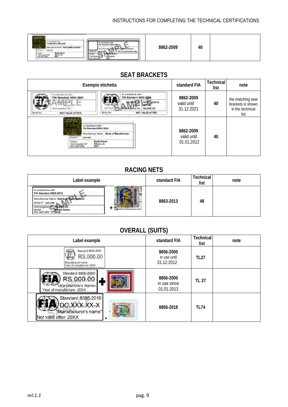#### INSTRUCTIONS FOR COMPLETING THE TECHNICAL CERTIFICATIONS

| <b>MARKETIN</b><br>In compliance with<br>FIA Standard 8862-2009<br>Manufacturer Name, "Name of Manufacturer"<br>Send nº<br><b>KEE KEE</b><br>Model Name<br>Model<br><b>AS XXX XX</b><br>Licensing@on N'<br>Not valid after<br>2021 | In compliance with<br>FIA Standard 8862-2009<br>For circuit events only<br>$x + x + 1$<br><b>AT MAMA</b><br><b>AS IXXXX</b><br>2021 | 8862-2009 | 40 |  |
|------------------------------------------------------------------------------------------------------------------------------------------------------------------------------------------------------------------------------------|-------------------------------------------------------------------------------------------------------------------------------------|-----------|----|--|
|------------------------------------------------------------------------------------------------------------------------------------------------------------------------------------------------------------------------------------|-------------------------------------------------------------------------------------------------------------------------------------|-----------|----|--|

# **SEAT BRACKETS**

|                                                                                                                                                                                                    | Esempio etichetta                                                                                                                          | standard FIA                           | Technical<br>list | note                                                               |
|----------------------------------------------------------------------------------------------------------------------------------------------------------------------------------------------------|--------------------------------------------------------------------------------------------------------------------------------------------|----------------------------------------|-------------------|--------------------------------------------------------------------|
| <b>IT-EOW/JIMPION WITH</b><br>FIA Standard 8862-2009<br>Homillingstich No.<br>Barried No.<br><b>NOT VALID AFTER:</b>                                                                               | to compliance with:<br>FIA Standard 8862-2009<br>Seat Company<br>APPROVED BOARDED NO.<br><b>AS XXX.XX</b><br>Senal No:<br>NOT VALID AFTER: | 8862-2009<br>valid until<br>31.12.2021 | 40                | the matching seat<br>brackets is shown<br>in the technical<br>list |
| <b>CARLES</b><br>will will situate<br>In compliance with:<br><b>FIA Standard 8862-2009</b><br><b>Source</b> a <sup>v</sup><br><b><i>BER NEW</i></b><br>Model<br>Homosopation N°<br>Not valid after | Manufacturer Norton Name of Manufacturer<br><b>Model Name</b><br>AB.xxx.xx                                                                 | 8862-2009<br>valid until<br>01.01.2012 | 40                |                                                                    |

# **RACING NETS**

| Label example                                                                                                                   | standard FIA | Technical<br>list | note |
|---------------------------------------------------------------------------------------------------------------------------------|--------------|-------------------|------|
| FIA Standard B863-2013<br>rufecturer Name: Name of Manufacturer<br>Serial N°, xxx xxx<br>Modal<br>Wedel Name<br>Not valid after | 8863-2013    | 48                |      |

# **OVERALL (SUITS)**

| Label example                                                                         | standard FIA                            | Technical<br>list | note |
|---------------------------------------------------------------------------------------|-----------------------------------------|-------------------|------|
| Standard 8856-2000<br>RS.000.00<br>Manufacturer name<br>Year of manufacture: 0000     | 8856-2000<br>in use until<br>31.12.2012 | <b>TL27</b>       |      |
| Standard 8856-2000<br>RS.000.00<br>«Manufacturer's Name»<br>Year of manufacture: 20XX | 8856-2000<br>in use since<br>01.01.2013 | TL 27             |      |
| Standard 8856-2018<br>JDC.XXX.XX-X<br>"Manufacturer's name"<br>Not valid after: 20XX  | 8856-2018                               | <b>TL74</b>       |      |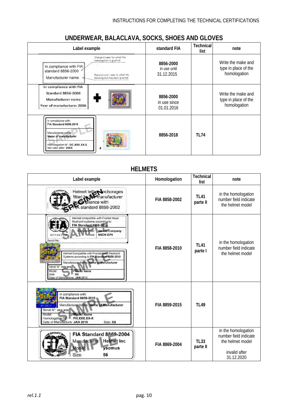| Label example                                                                                                                                                                                      | standard FIA                            | <b>Technical</b><br>list | note                                                       |
|----------------------------------------------------------------------------------------------------------------------------------------------------------------------------------------------------|-----------------------------------------|--------------------------|------------------------------------------------------------|
| Shandard name hid which the<br>homologation is granted<br>In compliance with FIA<br>standard 8856-2000<br>Maruf ecloner name his which the<br>Manufacturer name<br>horiologation has been granted. | 8856-2000<br>in use until<br>31.12.2015 |                          | Write the make and<br>type in place of the<br>homologation |
| In compliance with FIA<br><b>Standard 8856-2000</b><br>Manufacturer name<br>Year of manufacture: 2016                                                                                              | 8856-2000<br>in use since<br>01.01.2016 |                          | Write the make and<br>type in place of the<br>homologation |
| In compliance with:<br><b>FIA Standard 8856-2018</b><br>.<br>Manufacturer name:<br>Name of manufacturer<br>Homologation N°: DC.XXX.XX-X<br>Not valid after: 20XX<br>$\ddot{}$                      | 8856-2018                               | <b>TL74</b>              |                                                            |

# **UNDERWEAR, BALACLAVA, SOCKS, SHOES AND GLOVES**

# **HELMETS**

| Label example                                                                                                                                                                                                                                                                                                                                                                                                                          | Homologation  | <b>Technical</b><br>list | note                                                                                            |
|----------------------------------------------------------------------------------------------------------------------------------------------------------------------------------------------------------------------------------------------------------------------------------------------------------------------------------------------------------------------------------------------------------------------------------------|---------------|--------------------------|-------------------------------------------------------------------------------------------------|
| Helmet tetber Inchorages<br>fitted by <b>No manufacturer</b><br><b>Ori</b> pliance with<br>standard 8858-2002                                                                                                                                                                                                                                                                                                                          | FIA 8858-2002 | <b>TL41</b><br>parte II  | in the homologation<br>number field indicate<br>the helmet model                                |
| Helmet compatible with Frontal Head<br>Restraint systems according to:<br><b>FIA Standard 8858-2010</b><br><b>Manufacturer:</b> Helmet Company<br>Model:<br>M6CH-GP4<br>Serial No:<br>Helmet Compatible with Frontal Head Restraint<br>Systems according to FIA Standard 8858-2010<br>Manufacturer Name: Name of Manufacturer<br>Serial N": xxx xxx<br><b>Model Name</b><br>Mnde<br><b>XS</b><br>Size<br>Date of Manufacture: JAN 2013 | FIA 8858-2010 | <b>TL41</b><br>parte I   | in the homologation<br>number field indicate<br>the helmet model                                |
| In compliance with:<br><b>FIA Standard 8859-2015</b><br>Manufacturer Name: Name of Manufacturer<br>AP 000 01<br>Serial N°: xxx xxx<br>Model Name<br>Model<br>PH.XXX.XX-X<br>Homologation N <sup>1</sup><br>Date of Manufacture: JAN 2015<br>Size: XS                                                                                                                                                                                   | FIA 8859-2015 | TI 49                    |                                                                                                 |
| FIA Standard 8869-2004<br><b>Helmet Inc</b><br>Manufacturer:<br>ysomus<br>Model:<br>Size:<br>56                                                                                                                                                                                                                                                                                                                                        | FIA 8869-2004 | <b>TL33</b><br>parte II  | in the homologation<br>number field indicate<br>the helmet model<br>invalid after<br>31.12.2020 |